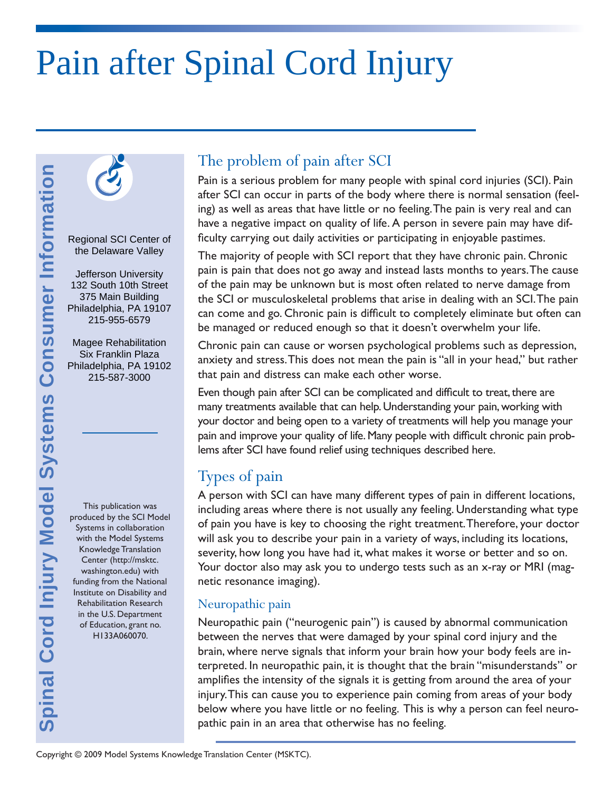# Pain after Spinal Cord Injury



the Delaware Valley

Jefferson University 132 South 10th Street 375 Main Building Philadelphia, PA 19107 215-955-6579

Magee Rehabilitation Six Franklin Plaza Philadelphia, PA 19102 215-587-3000

This publication was produced by the SCI Model Systems in collaboration with the Model Systems Knowledge Translation Center (http://msktc. washington.edu) with funding from the National Institute on Disability and Rehabilitation Research in the U.S. Department of Education, grant no. H133A060070. **Special Science Systems Cord International SCI Center of Same Building<br>
132 South 10th Street<br>
132 South 10th Street<br>
Philadelphia, PA 19107<br>
215-955-6579<br>
Magee Rehabilitation<br>
Sky Franklin Plaza<br>
215-587-3000<br>
215-587-3** 

## The problem of pain after SCI

Pain is a serious problem for many people with spinal cord injuries (SCI). Pain after SCI can occur in parts of the body where there is normal sensation (feeling) as well as areas that have little or no feeling. The pain is very real and can have a negative impact on quality of life. A person in severe pain may have difficulty carrying out daily activities or participating in enjoyable pastimes.

The majority of people with SCI report that they have chronic pain. Chronic pain is pain that does not go away and instead lasts months to years. The cause of the pain may be unknown but is most often related to nerve damage from the SCI or musculoskeletal problems that arise in dealing with an SCI. The pain can come and go. Chronic pain is difficult to completely eliminate but often can be managed or reduced enough so that it doesn't overwhelm your life.

Chronic pain can cause or worsen psychological problems such as depression, anxiety and stress. This does not mean the pain is "all in your head," but rather that pain and distress can make each other worse.

Even though pain after SCI can be complicated and difficult to treat, there are many treatments available that can help. Understanding your pain, working with your doctor and being open to a variety of treatments will help you manage your pain and improve your quality of life. Many people with difficult chronic pain problems after SCI have found relief using techniques described here.

# Types of pain

A person with SCI can have many different types of pain in different locations, including areas where there is not usually any feeling. Understanding what type of pain you have is key to choosing the right treatment. Therefore, your doctor will ask you to describe your pain in a variety of ways, including its locations, severity, how long you have had it, what makes it worse or better and so on. Your doctor also may ask you to undergo tests such as an x-ray or MRI (magnetic resonance imaging).

#### Neuropathic pain

Neuropathic pain ("neurogenic pain") is caused by abnormal communication between the nerves that were damaged by your spinal cord injury and the brain, where nerve signals that inform your brain how your body feels are interpreted. In neuropathic pain, it is thought that the brain "misunderstands" or amplifies the intensity of the signals it is getting from around the area of your injury. This can cause you to experience pain coming from areas of your body below where you have little or no feeling. This is why a person can feel neuropathic pain in an area that otherwise has no feeling.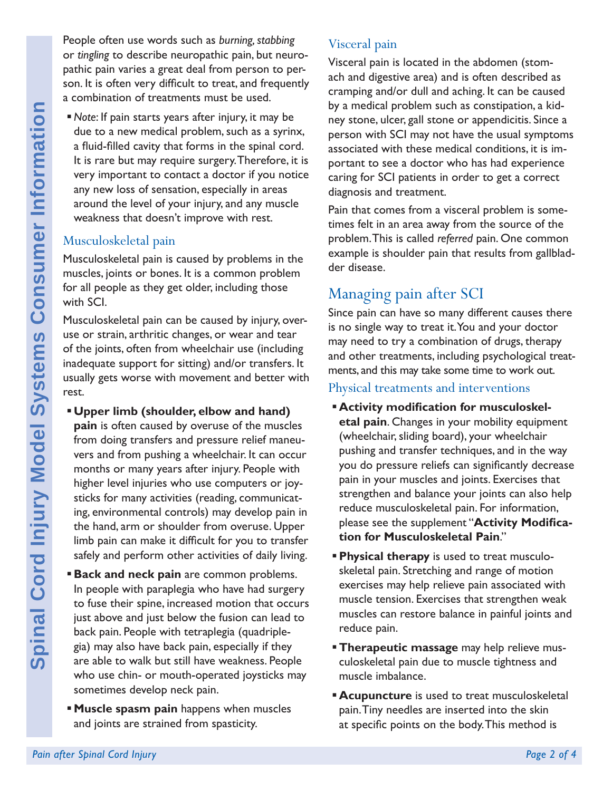People often use words such as *burning, stabbing* or *tingling* to describe neuropathic pain, but neuropathic pain varies a great deal from person to person. It is often very difficult to treat, and frequently a combination of treatments must be used.

*Note*: If pain starts years after injury, it may be due to a new medical problem, such as a syrinx, a fluid-filled cavity that forms in the spinal cord. It is rare but may require surgery. Therefore, it is very important to contact a doctor if you notice any new loss of sensation, especially in areas around the level of your injury, and any muscle weakness that doesn't improve with rest.

#### Musculoskeletal pain

Musculoskeletal pain is caused by problems in the muscles, joints or bones. It is a common problem for all people as they get older, including those with SCI.

Musculoskeletal pain can be caused by injury, overuse or strain, arthritic changes, or wear and tear of the joints, often from wheelchair use (including inadequate support for sitting) and/or transfers. It usually gets worse with movement and better with rest.

**Upper limb (shoulder, elbow and hand)** 

**pain** is often caused by overuse of the muscles from doing transfers and pressure relief maneuvers and from pushing a wheelchair. It can occur months or many years after injury. People with higher level injuries who use computers or joysticks for many activities (reading, communicating, environmental controls) may develop pain in the hand, arm or shoulder from overuse. Upper limb pain can make it difficult for you to transfer safely and perform other activities of daily living.

- **Back and neck pain** are common problems. In people with paraplegia who have had surgery to fuse their spine, increased motion that occurs just above and just below the fusion can lead to back pain. People with tetraplegia (quadriplegia) may also have back pain, especially if they are able to walk but still have weakness. People who use chin- or mouth-operated joysticks may sometimes develop neck pain.
- **Muscle spasm pain** happens when muscles and joints are strained from spasticity.

#### Visceral pain

Visceral pain is located in the abdomen (stomach and digestive area) and is often described as cramping and/or dull and aching. It can be caused by a medical problem such as constipation, a kidney stone, ulcer, gall stone or appendicitis. Since a person with SCI may not have the usual symptoms associated with these medical conditions, it is important to see a doctor who has had experience caring for SCI patients in order to get a correct diagnosis and treatment.

Pain that comes from a visceral problem is sometimes felt in an area away from the source of the problem. This is called *referred* pain. One common example is shoulder pain that results from gallbladder disease.

# Managing pain after SCI

Since pain can have so many different causes there is no single way to treat it. You and your doctor may need to try a combination of drugs, therapy and other treatments, including psychological treatments, and this may take some time to work out.

#### Physical treatments and interventions

- **Activity modification for musculoskeletal pain**. Changes in your mobility equipment (wheelchair, sliding board), your wheelchair pushing and transfer techniques, and in the way you do pressure reliefs can significantly decrease pain in your muscles and joints. Exercises that strengthen and balance your joints can also help reduce musculoskeletal pain. For information, please see the supplement "Activity Modifica**tion for Musculoskeletal Pain**."
- **Physical therapy** is used to treat musculoskeletal pain. Stretching and range of motion exercises may help relieve pain associated with muscle tension. Exercises that strengthen weak muscles can restore balance in painful joints and reduce pain.
- **Therapeutic massage** may help relieve musculoskeletal pain due to muscle tightness and muscle imbalance.
- **Acupuncture** is used to treat musculoskeletal pain. Tiny needles are inserted into the skin at specific points on the body. This method is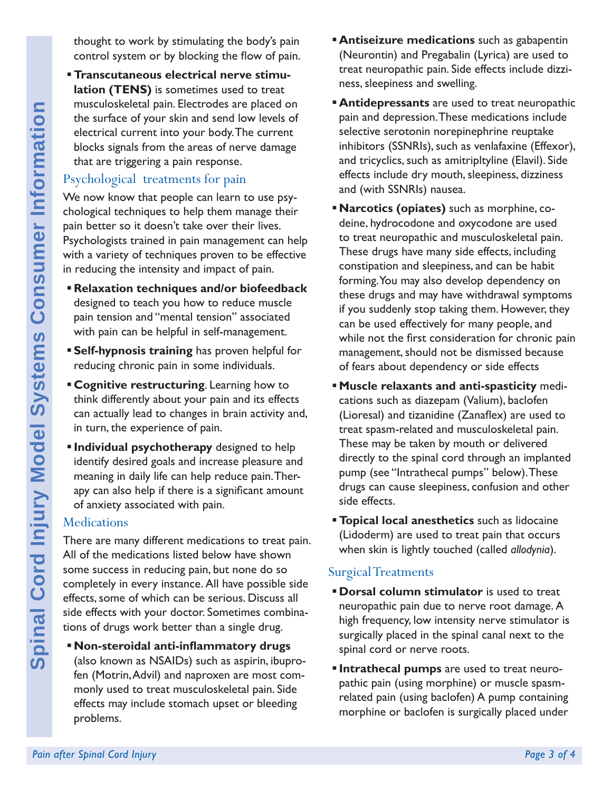thought to work by stimulating the body's pain control system or by blocking the flow of pain.

**Transcutaneous electrical nerve stimulation (TENS)** is sometimes used to treat musculoskeletal pain. Electrodes are placed on the surface of your skin and send low levels of electrical current into your body. The current blocks signals from the areas of nerve damage that are triggering a pain response.

## Psychological treatments for pain

We now know that people can learn to use psychological techniques to help them manage their pain better so it doesn't take over their lives. Psychologists trained in pain management can help with a variety of techniques proven to be effective in reducing the intensity and impact of pain.

- **Relaxation techniques and/or biofeedback** designed to teach you how to reduce muscle pain tension and "mental tension" associated with pain can be helpful in self-management.
- **Self-hypnosis training** has proven helpful for reducing chronic pain in some individuals.
- **Cognitive restructuring**. Learning how to think differently about your pain and its effects can actually lead to changes in brain activity and, in turn, the experience of pain.
- **Individual psychotherapy** designed to help identify desired goals and increase pleasure and meaning in daily life can help reduce pain. Therapy can also help if there is a significant amount of anxiety associated with pain.

## **Medications**

There are many different medications to treat pain. All of the medications listed below have shown some success in reducing pain, but none do so completely in every instance. All have possible side effects, some of which can be serious. Discuss all side effects with your doctor. Sometimes combinations of drugs work better than a single drug.

**Non-steroidal anti-inflammatory drugs** (also known as NSAIDs) such as aspirin, ibuprofen (Motrin, Advil) and naproxen are most commonly used to treat musculoskeletal pain. Side effects may include stomach upset or bleeding problems.

- **Antiseizure medications** such as gabapentin (Neurontin) and Pregabalin (Lyrica) are used to treat neuropathic pain. Side effects include dizziness, sleepiness and swelling.
- **Antidepressants** are used to treat neuropathic pain and depression. These medications include selective serotonin norepinephrine reuptake inhibitors (SSNRIs), such as venlafaxine (Effexor), and tricyclics, such as amitripltyline (Elavil). Side effects include dry mouth, sleepiness, dizziness and (with SSNRIs) nausea.
- **Narcotics (opiates)** such as morphine, codeine, hydrocodone and oxycodone are used to treat neuropathic and musculoskeletal pain. These drugs have many side effects, including constipation and sleepiness, and can be habit forming. You may also develop dependency on these drugs and may have withdrawal symptoms if you suddenly stop taking them. However, they can be used effectively for many people, and while not the first consideration for chronic pain management, should not be dismissed because of fears about dependency or side effects
- **Muscle relaxants and anti-spasticity** medications such as diazepam (Valium), baclofen (Lioresal) and tizanidine (Zanaflex) are used to treat spasm-related and musculoskeletal pain. These may be taken by mouth or delivered directly to the spinal cord through an implanted pump (see "Intrathecal pumps" below). These drugs can cause sleepiness, confusion and other side effects.
- **Topical local anesthetics** such as lidocaine (Lidoderm) are used to treat pain that occurs when skin is lightly touched (called *allodynia*).

## Surgical Treatments

- **Dorsal column stimulator** is used to treat neuropathic pain due to nerve root damage. A high frequency, low intensity nerve stimulator is surgically placed in the spinal canal next to the spinal cord or nerve roots.
- **Intrathecal pumps** are used to treat neuropathic pain (using morphine) or muscle spasmrelated pain (using baclofen) A pump containing morphine or baclofen is surgically placed under